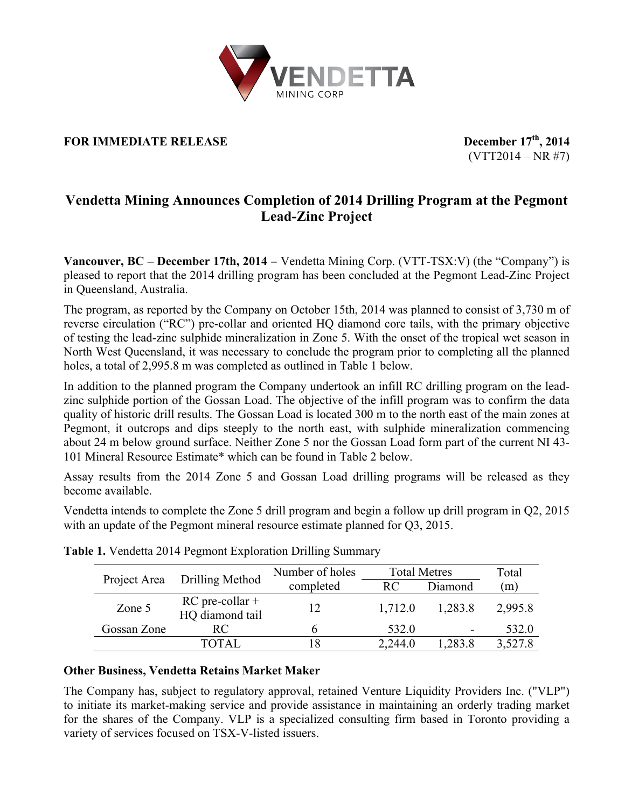

# **FOR IMMEDIATE RELEASE** December  $17<sup>th</sup>$ , 2014

 $(VTT2014 - NR #7)$ 

# **Vendetta Mining Announces Completion of 2014 Drilling Program at the Pegmont Lead-Zinc Project**

**Vancouver, BC – December 17th, 2014** − Vendetta Mining Corp. (VTT-TSX:V) (the "Company") is pleased to report that the 2014 drilling program has been concluded at the Pegmont Lead-Zinc Project in Queensland, Australia.

The program, as reported by the Company on October 15th, 2014 was planned to consist of 3,730 m of reverse circulation ("RC") pre-collar and oriented HQ diamond core tails, with the primary objective of testing the lead-zinc sulphide mineralization in Zone 5. With the onset of the tropical wet season in North West Queensland, it was necessary to conclude the program prior to completing all the planned holes, a total of 2,995.8 m was completed as outlined in Table 1 below.

In addition to the planned program the Company undertook an infill RC drilling program on the leadzinc sulphide portion of the Gossan Load. The objective of the infill program was to confirm the data quality of historic drill results. The Gossan Load is located 300 m to the north east of the main zones at Pegmont, it outcrops and dips steeply to the north east, with sulphide mineralization commencing about 24 m below ground surface. Neither Zone 5 nor the Gossan Load form part of the current NI 43- 101 Mineral Resource Estimate\* which can be found in Table 2 below.

Assay results from the 2014 Zone 5 and Gossan Load drilling programs will be released as they become available.

Vendetta intends to complete the Zone 5 drill program and begin a follow up drill program in Q2, 2015 with an update of the Pegmont mineral resource estimate planned for Q3, 2015.

| Project Area | Drilling Method                      | Number of holes | <b>Total Metres</b> |         | Total   |
|--------------|--------------------------------------|-----------------|---------------------|---------|---------|
|              |                                      | completed       | RC.                 | Diamond | (m)     |
| Zone 5       | $RC$ pre-collar +<br>HQ diamond tail | 12              | 1,712.0             | 1,283.8 | 2,995.8 |
| Gossan Zone  | RC.                                  |                 | 532.0               | -       | 532.0   |
|              | TOTAL                                |                 | 2,244.0             | .283.8  | 3,527.8 |

|  |  | Table 1. Vendetta 2014 Pegmont Exploration Drilling Summary |  |
|--|--|-------------------------------------------------------------|--|
|  |  |                                                             |  |

### **Other Business, Vendetta Retains Market Maker**

The Company has, subject to regulatory approval, retained Venture Liquidity Providers Inc. ("VLP") to initiate its market-making service and provide assistance in maintaining an orderly trading market for the shares of the Company. VLP is a specialized consulting firm based in Toronto providing a variety of services focused on TSX-V-listed issuers.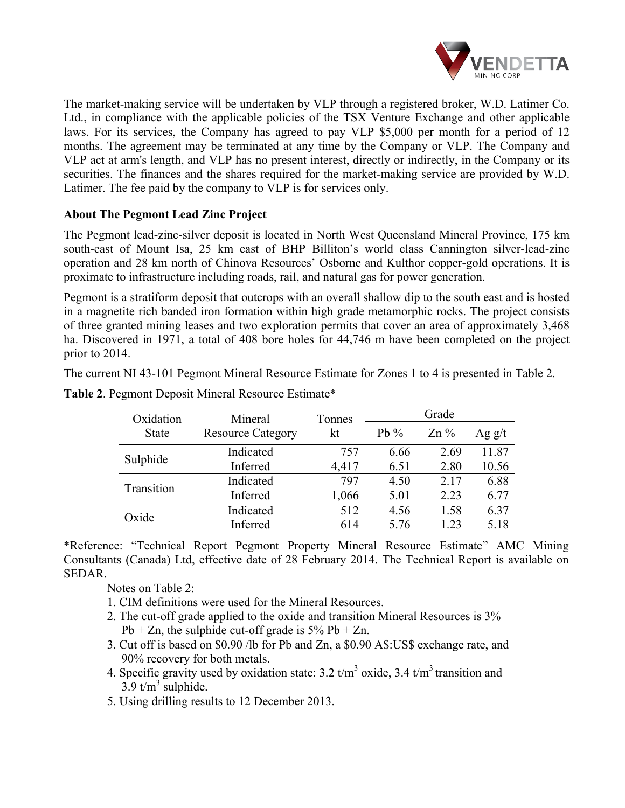

The market-making service will be undertaken by VLP through a registered broker, W.D. Latimer Co. Ltd., in compliance with the applicable policies of the TSX Venture Exchange and other applicable laws. For its services, the Company has agreed to pay VLP \$5,000 per month for a period of 12 months. The agreement may be terminated at any time by the Company or VLP. The Company and VLP act at arm's length, and VLP has no present interest, directly or indirectly, in the Company or its securities. The finances and the shares required for the market-making service are provided by W.D. Latimer. The fee paid by the company to VLP is for services only.

## **About The Pegmont Lead Zinc Project**

The Pegmont lead-zinc-silver deposit is located in North West Queensland Mineral Province, 175 km south-east of Mount Isa, 25 km east of BHP Billiton's world class Cannington silver-lead-zinc operation and 28 km north of Chinova Resources' Osborne and Kulthor copper-gold operations. It is proximate to infrastructure including roads, rail, and natural gas for power generation.

Pegmont is a stratiform deposit that outcrops with an overall shallow dip to the south east and is hosted in a magnetite rich banded iron formation within high grade metamorphic rocks. The project consists of three granted mining leases and two exploration permits that cover an area of approximately 3,468 ha. Discovered in 1971, a total of 408 bore holes for 44,746 m have been completed on the project prior to 2014.

The current NI 43-101 Pegmont Mineral Resource Estimate for Zones 1 to 4 is presented in Table 2.

| Oxidation    | Mineral                  | Tonnes | Grade  |        |          |
|--------------|--------------------------|--------|--------|--------|----------|
| <b>State</b> | <b>Resource Category</b> | kt     | $Pb\%$ | $Zn\%$ | Ag $g/t$ |
| Sulphide     | Indicated                | 757    | 6.66   | 2.69   | 11.87    |
|              | Inferred                 | 4,417  | 6.51   | 2.80   | 10.56    |
| Transition   | Indicated                | 797    | 4.50   | 2.17   | 6.88     |
|              | Inferred                 | 1,066  | 5.01   | 2.23   | 6.77     |
| Oxide        | Indicated                | 512    | 4.56   | 1.58   | 6.37     |
|              | Inferred                 | 614    | 5.76   | 1.23   | 5.18     |

**Table 2**. Pegmont Deposit Mineral Resource Estimate\*

\*Reference: "Technical Report Pegmont Property Mineral Resource Estimate" AMC Mining Consultants (Canada) Ltd, effective date of 28 February 2014. The Technical Report is available on SEDAR.

Notes on Table 2:

- 1. CIM definitions were used for the Mineral Resources.
- 2. The cut-off grade applied to the oxide and transition Mineral Resources is 3%  $Pb + Zn$ , the sulphide cut-off grade is  $5\% Pb + Zn$ .
- 3. Cut off is based on \$0.90 /lb for Pb and Zn, a \$0.90 A\$:US\$ exchange rate, and 90% recovery for both metals.
- 4. Specific gravity used by oxidation state:  $3.2 \text{ t/m}^3$  oxide,  $3.4 \text{ t/m}^3$  transition and  $3.9$  t/m<sup>3</sup> sulphide.
- 5. Using drilling results to 12 December 2013.